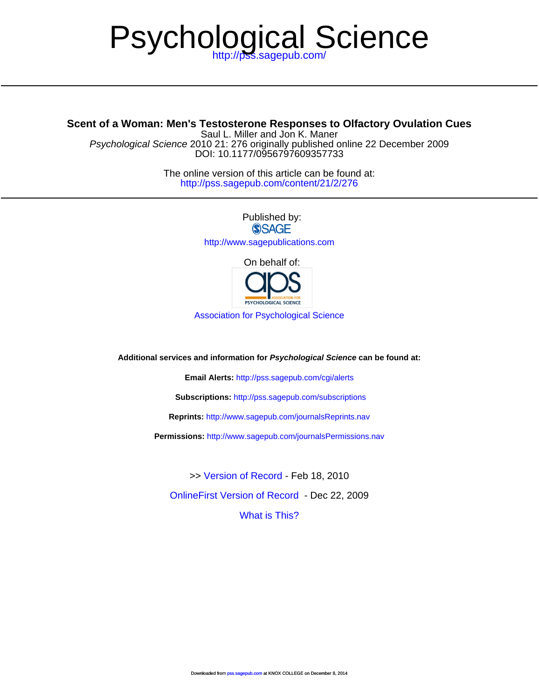## Psychological Science

## **Scent of a Woman: Men's Testosterone Responses to Olfactory Ovulation Cues**

DOI: 10.1177/0956797609357733 Psychological Science 2010 21: 276 originally published online 22 December 2009 Saul L. Miller and Jon K. Maner

> <http://pss.sagepub.com/content/21/2/276> The online version of this article can be found at:

> > Published by:<br>
> > SAGE <http://www.sagepublications.com> On behalf of:



[Association for Psychological Science](http://www.psychologicalscience.org/)

**Additional services and information for Psychological Science can be found at:**

**Email Alerts:** <http://pss.sagepub.com/cgi/alerts>

**Subscriptions:** <http://pss.sagepub.com/subscriptions>

**Reprints:** <http://www.sagepub.com/journalsReprints.nav>

**Permissions:** <http://www.sagepub.com/journalsPermissions.nav>

[OnlineFirst Version of Record](http://pss.sagepub.com/content/early/2009/12/21/0956797609357733.full.pdf) - Dec 22, 2009 >> [Version of Record -](http://pss.sagepub.com/content/21/2/276.full.pdf) Feb 18, 2010

[What is This?](http://online.sagepub.com/site/sphelp/vorhelp.xhtml)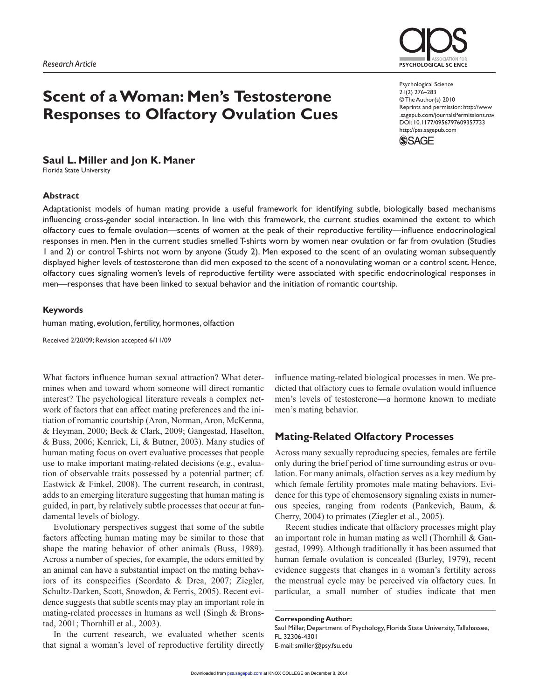## **Scent of a Woman: Men's Testosterone Responses to Olfactory Ovulation Cues**

# PSYCHOLOGICAL SCIENCE

Psychological Science 21(2) 276–283 © The Author(s) 2010 Reprints and permission: http://www .sagepub.com/journalsPermissions.nav DOI: 10.1177/0956797609357733 http://pss.sagepub.com



## **Saul L. Miller and Jon K. Maner**

Florida State University

## **Abstract**

Adaptationist models of human mating provide a useful framework for identifying subtle, biologically based mechanisms influencing cross-gender social interaction. In line with this framework, the current studies examined the extent to which olfactory cues to female ovulation—scents of women at the peak of their reproductive fertility—influence endocrinological responses in men. Men in the current studies smelled T-shirts worn by women near ovulation or far from ovulation (Studies 1 and 2) or control T-shirts not worn by anyone (Study 2). Men exposed to the scent of an ovulating woman subsequently displayed higher levels of testosterone than did men exposed to the scent of a nonovulating woman or a control scent. Hence, olfactory cues signaling women's levels of reproductive fertility were associated with specific endocrinological responses in men—responses that have been linked to sexual behavior and the initiation of romantic courtship.

## **Keywords**

human mating, evolution, fertility, hormones, olfaction

Received 2/20/09; Revision accepted 6/11/09

What factors influence human sexual attraction? What determines when and toward whom someone will direct romantic interest? The psychological literature reveals a complex network of factors that can affect mating preferences and the initiation of romantic courtship (Aron, Norman, Aron, McKenna, & Heyman, 2000; Beck & Clark, 2009; Gangestad, Haselton, & Buss, 2006; Kenrick, Li, & Butner, 2003). Many studies of human mating focus on overt evaluative processes that people use to make important mating-related decisions (e.g., evaluation of observable traits possessed by a potential partner; cf. Eastwick & Finkel, 2008). The current research, in contrast, adds to an emerging literature suggesting that human mating is guided, in part, by relatively subtle processes that occur at fundamental levels of biology.

Evolutionary perspectives suggest that some of the subtle factors affecting human mating may be similar to those that shape the mating behavior of other animals (Buss, 1989). Across a number of species, for example, the odors emitted by an animal can have a substantial impact on the mating behaviors of its conspecifics (Scordato & Drea, 2007; Ziegler, Schultz-Darken, Scott, Snowdon, & Ferris, 2005). Recent evidence suggests that subtle scents may play an important role in mating-related processes in humans as well (Singh & Bronstad, 2001; Thornhill et al., 2003).

In the current research, we evaluated whether scents that signal a woman's level of reproductive fertility directly influence mating-related biological processes in men. We predicted that olfactory cues to female ovulation would influence men's levels of testosterone—a hormone known to mediate men's mating behavior.

## **Mating-Related Olfactory Processes**

Across many sexually reproducing species, females are fertile only during the brief period of time surrounding estrus or ovulation. For many animals, olfaction serves as a key medium by which female fertility promotes male mating behaviors. Evidence for this type of chemosensory signaling exists in numerous species, ranging from rodents (Pankevich, Baum, & Cherry, 2004) to primates (Ziegler et al., 2005).

Recent studies indicate that olfactory processes might play an important role in human mating as well (Thornhill & Gangestad, 1999). Although traditionally it has been assumed that human female ovulation is concealed (Burley, 1979), recent evidence suggests that changes in a woman's fertility across the menstrual cycle may be perceived via olfactory cues. In particular, a small number of studies indicate that men

## **Corresponding Author:**

Saul Miller, Department of Psychology, Florida State University, Tallahassee, FL 32306-4301 E-mail: smiller@psy.fsu.edu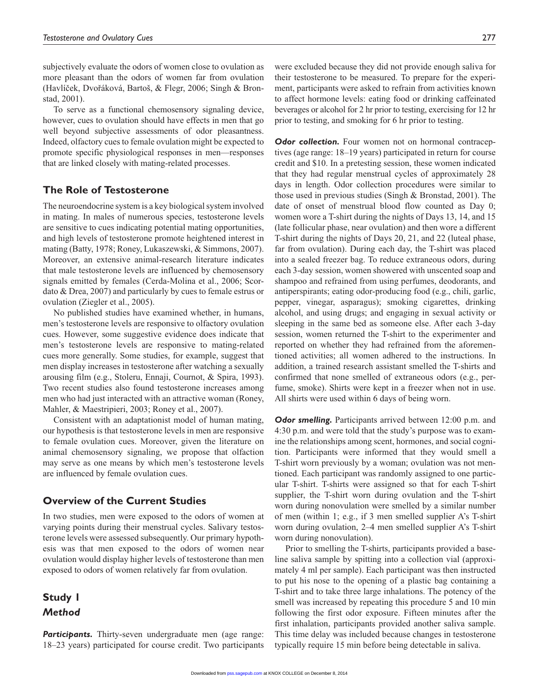subjectively evaluate the odors of women close to ovulation as more pleasant than the odors of women far from ovulation (Havlíček, Dvořáková, Bartoš, & Flegr, 2006; Singh & Bronstad, 2001).

To serve as a functional chemosensory signaling device, however, cues to ovulation should have effects in men that go well beyond subjective assessments of odor pleasantness. Indeed, olfactory cues to female ovulation might be expected to promote specific physiological responses in men—responses that are linked closely with mating-related processes.

## **The Role of Testosterone**

The neuroendocrine system is a key biological system involved in mating. In males of numerous species, testosterone levels are sensitive to cues indicating potential mating opportunities, and high levels of testosterone promote heightened interest in mating (Batty, 1978; Roney, Lukaszewski, & Simmons, 2007). Moreover, an extensive animal-research literature indicates that male testosterone levels are influenced by chemosensory signals emitted by females (Cerda-Molina et al., 2006; Scordato & Drea, 2007) and particularly by cues to female estrus or ovulation (Ziegler et al., 2005).

No published studies have examined whether, in humans, men's testosterone levels are responsive to olfactory ovulation cues. However, some suggestive evidence does indicate that men's testosterone levels are responsive to mating-related cues more generally. Some studies, for example, suggest that men display increases in testosterone after watching a sexually arousing film (e.g., Stoleru, Ennaji, Cournot, & Spira, 1993). Two recent studies also found testosterone increases among men who had just interacted with an attractive woman (Roney, Mahler, & Maestripieri, 2003; Roney et al., 2007).

Consistent with an adaptationist model of human mating, our hypothesis is that testosterone levels in men are responsive to female ovulation cues. Moreover, given the literature on animal chemosensory signaling, we propose that olfaction may serve as one means by which men's testosterone levels are influenced by female ovulation cues.

## **Overview of the Current Studies**

In two studies, men were exposed to the odors of women at varying points during their menstrual cycles. Salivary testosterone levels were assessed subsequently. Our primary hypothesis was that men exposed to the odors of women near ovulation would display higher levels of testosterone than men exposed to odors of women relatively far from ovulation.

## **Study 1**

## *Method*

**Participants.** Thirty-seven undergraduate men (age range: 18–23 years) participated for course credit. Two participants were excluded because they did not provide enough saliva for their testosterone to be measured. To prepare for the experiment, participants were asked to refrain from activities known to affect hormone levels: eating food or drinking caffeinated beverages or alcohol for 2 hr prior to testing, exercising for 12 hr prior to testing, and smoking for 6 hr prior to testing.

**Odor collection.** Four women not on hormonal contraceptives (age range: 18–19 years) participated in return for course credit and \$10. In a pretesting session, these women indicated that they had regular menstrual cycles of approximately 28 days in length. Odor collection procedures were similar to those used in previous studies (Singh & Bronstad, 2001). The date of onset of menstrual blood flow counted as Day 0; women wore a T-shirt during the nights of Days 13, 14, and 15 (late follicular phase, near ovulation) and then wore a different T-shirt during the nights of Days 20, 21, and 22 (luteal phase, far from ovulation). During each day, the T-shirt was placed into a sealed freezer bag. To reduce extraneous odors, during each 3-day session, women showered with unscented soap and shampoo and refrained from using perfumes, deodorants, and antiperspirants; eating odor-producing food (e.g., chili, garlic, pepper, vinegar, asparagus); smoking cigarettes, drinking alcohol, and using drugs; and engaging in sexual activity or sleeping in the same bed as someone else. After each 3-day session, women returned the T-shirt to the experimenter and reported on whether they had refrained from the aforementioned activities; all women adhered to the instructions. In addition, a trained research assistant smelled the T-shirts and confirmed that none smelled of extraneous odors (e.g., perfume, smoke). Shirts were kept in a freezer when not in use. All shirts were used within 6 days of being worn.

**Odor smelling.** Participants arrived between 12:00 p.m. and 4:30 p.m. and were told that the study's purpose was to examine the relationships among scent, hormones, and social cognition. Participants were informed that they would smell a T-shirt worn previously by a woman; ovulation was not mentioned. Each participant was randomly assigned to one particular T-shirt. T-shirts were assigned so that for each T-shirt supplier, the T-shirt worn during ovulation and the T-shirt worn during nonovulation were smelled by a similar number of men (within 1; e.g., if 3 men smelled supplier A's T-shirt worn during ovulation, 2–4 men smelled supplier A's T-shirt worn during nonovulation).

Prior to smelling the T-shirts, participants provided a baseline saliva sample by spitting into a collection vial (approximately 4 ml per sample). Each participant was then instructed to put his nose to the opening of a plastic bag containing a T-shirt and to take three large inhalations. The potency of the smell was increased by repeating this procedure 5 and 10 min following the first odor exposure. Fifteen minutes after the first inhalation, participants provided another saliva sample. This time delay was included because changes in testosterone typically require 15 min before being detectable in saliva.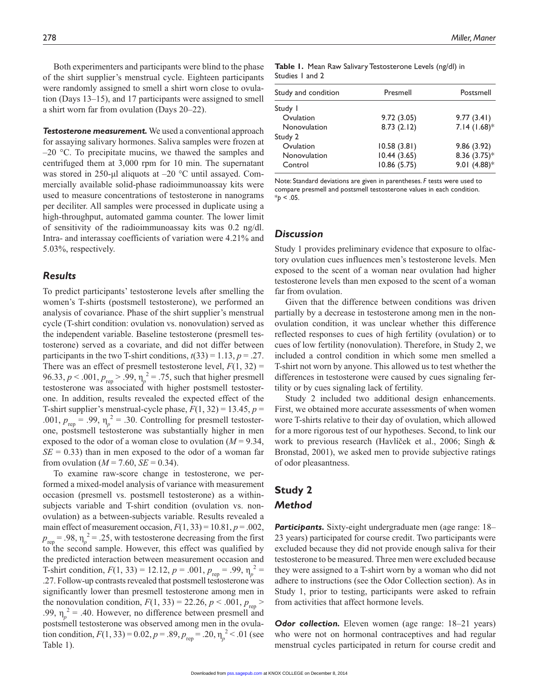Both experimenters and participants were blind to the phase of the shirt supplier's menstrual cycle. Eighteen participants were randomly assigned to smell a shirt worn close to ovulation (Days 13–15), and 17 participants were assigned to smell a shirt worn far from ovulation (Days 20–22).

*Testosterone measurement.* We used a conventional approach for assaying salivary hormones. Saliva samples were frozen at  $-20$  °C. To precipitate mucins, we thawed the samples and centrifuged them at 3,000 rpm for 10 min. The supernatant was stored in 250-μl aliquots at –20 °C until assayed. Commercially available solid-phase radioimmunoassay kits were used to measure concentrations of testosterone in nanograms per deciliter. All samples were processed in duplicate using a high-throughput, automated gamma counter. The lower limit of sensitivity of the radioimmunoassay kits was 0.2 ng/dl. Intra- and interassay coefficients of variation were 4.21% and 5.03%, respectively.

## *Results*

To predict participants' testosterone levels after smelling the women's T-shirts (postsmell testosterone), we performed an analysis of covariance. Phase of the shirt supplier's menstrual cycle (T-shirt condition: ovulation vs. nonovulation) served as the independent variable. Baseline testosterone (presmell testosterone) served as a covariate, and did not differ between participants in the two T-shirt conditions,  $t(33) = 1.13$ ,  $p = .27$ . There was an effect of presmell testosterone level,  $F(1, 32)$  = 96.33,  $p < .001$ ,  $p_{\text{rep}} > .99$ ,  $\eta_p^2 = .75$ , such that higher presmell testosterone was associated with higher postsmell testosterone. In addition, results revealed the expected effect of the T-shirt supplier's menstrual-cycle phase,  $F(1, 32) = 13.45$ ,  $p =$ .001,  $p_{\text{rep}} = .99$ ,  $\eta_p^2 = .30$ . Controlling for presmell testosterone, postsmell testosterone was substantially higher in men exposed to the odor of a woman close to ovulation (*M* = 9.34,  $SE = 0.33$ ) than in men exposed to the odor of a woman far from ovulation ( $M = 7.60$ ,  $SE = 0.34$ ).

To examine raw-score change in testosterone, we performed a mixed-model analysis of variance with measurement occasion (presmell vs. postsmell testosterone) as a withinsubjects variable and T-shirt condition (ovulation vs. nonovulation) as a between-subjects variable. Results revealed a main effect of measurement occasion,  $F(1, 33) = 10.81$ ,  $p = .002$ ,  $p_{\text{rep}} = .98$ ,  $\eta_p^2 = .25$ , with testosterone decreasing from the first to the second sample. However, this effect was qualified by the predicted interaction between measurement occasion and T-shirt condition,  $F(1, 33) = 12.12$ ,  $p = .001$ ,  $p_{\text{rep}} = .99$ ,  $\eta_p^2 =$ .27. Follow-up contrasts revealed that postsmell testosterone was significantly lower than presmell testosterone among men in the nonovulation condition,  $F(1, 33) = 22.26$ ,  $p < .001$ ,  $p_{\text{ren}} >$ .99,  $\eta_p^2$  = .40. However, no difference between presmell and postsmell testosterone was observed among men in the ovulation condition,  $F(1, 33) = 0.02$ ,  $p = .89$ ,  $p_{\text{rep}} = .20$ ,  $\eta_p^2 < .01$  (see Table 1).

|                 |  |  | Table 1. Mean Raw Salivary Testosterone Levels (ng/dl) in |  |
|-----------------|--|--|-----------------------------------------------------------|--|
| Studies 1 and 2 |  |  |                                                           |  |

| Study and condition | Presmell    | Postsmell                  |  |
|---------------------|-------------|----------------------------|--|
| Study I             |             |                            |  |
| Ovulation           | 9.72(3.05)  | 9.77(3.41)                 |  |
| Nonovulation        | 8.73(2.12)  | $7.14(1.68)*$              |  |
| Study 2             |             |                            |  |
| Ovulation           | 10.58(3.81) | 9.86(3.92)                 |  |
| Nonovulation        | 10.44(3.65) | 8.36 $(3.75)$ *            |  |
| Control             | 10.86(5.75) | 9.01 $(4.88)$ <sup>*</sup> |  |
|                     |             |                            |  |

Note: Standard deviations are given in parentheses. *F* tests were used to compare presmell and postsmell testosterone values in each condition.  $*_{p}$  < .05.

#### *Discussion*

Study 1 provides preliminary evidence that exposure to olfactory ovulation cues influences men's testosterone levels. Men exposed to the scent of a woman near ovulation had higher testosterone levels than men exposed to the scent of a woman far from ovulation.

Given that the difference between conditions was driven partially by a decrease in testosterone among men in the nonovulation condition, it was unclear whether this difference reflected responses to cues of high fertility (ovulation) or to cues of low fertility (nonovulation). Therefore, in Study 2, we included a control condition in which some men smelled a T-shirt not worn by anyone. This allowed us to test whether the differences in testosterone were caused by cues signaling fertility or by cues signaling lack of fertility.

Study 2 included two additional design enhancements. First, we obtained more accurate assessments of when women wore T-shirts relative to their day of ovulation, which allowed for a more rigorous test of our hypotheses. Second, to link our work to previous research (Havlíček et al., 2006; Singh & Bronstad, 2001), we asked men to provide subjective ratings of odor pleasantness.

## **Study 2** *Method*

*Participants.* Sixty-eight undergraduate men (age range: 18– 23 years) participated for course credit. Two participants were excluded because they did not provide enough saliva for their testosterone to be measured. Three men were excluded because they were assigned to a T-shirt worn by a woman who did not adhere to instructions (see the Odor Collection section). As in Study 1, prior to testing, participants were asked to refrain from activities that affect hormone levels.

**Odor collection.** Eleven women (age range: 18–21 years) who were not on hormonal contraceptives and had regular menstrual cycles participated in return for course credit and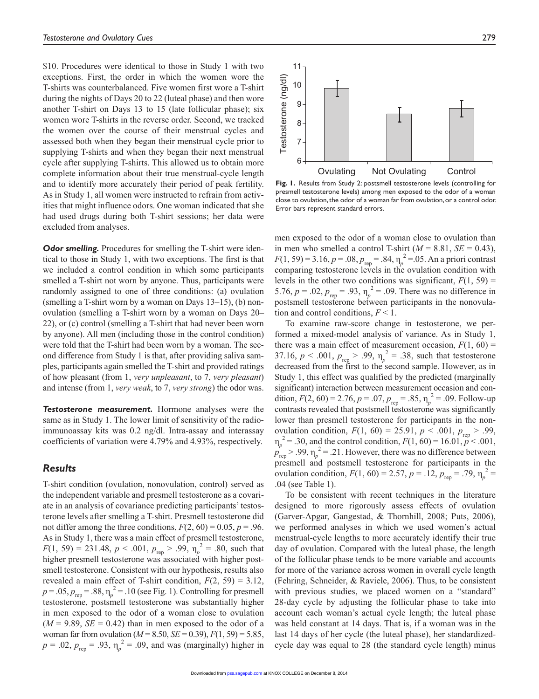\$10. Procedures were identical to those in Study 1 with two exceptions. First, the order in which the women wore the T-shirts was counterbalanced. Five women first wore a T-shirt during the nights of Days 20 to 22 (luteal phase) and then wore another T-shirt on Days 13 to 15 (late follicular phase); six women wore T-shirts in the reverse order. Second, we tracked the women over the course of their menstrual cycles and assessed both when they began their menstrual cycle prior to supplying T-shirts and when they began their next menstrual cycle after supplying T-shirts. This allowed us to obtain more complete information about their true menstrual-cycle length and to identify more accurately their period of peak fertility. As in Study 1, all women were instructed to refrain from activities that might influence odors. One woman indicated that she had used drugs during both T-shirt sessions; her data were excluded from analyses.

**Odor smelling.** Procedures for smelling the T-shirt were identical to those in Study 1, with two exceptions. The first is that we included a control condition in which some participants smelled a T-shirt not worn by anyone. Thus, participants were randomly assigned to one of three conditions: (a) ovulation (smelling a T-shirt worn by a woman on Days 13–15), (b) nonovulation (smelling a T-shirt worn by a woman on Days 20– 22), or (c) control (smelling a T-shirt that had never been worn by anyone). All men (including those in the control condition) were told that the T-shirt had been worn by a woman. The second difference from Study 1 is that, after providing saliva samples, participants again smelled the T-shirt and provided ratings of how pleasant (from 1, *very unpleasant*, to 7, *very pleasant*) and intense (from 1, *very weak*, to 7, *very strong*) the odor was.

*Testosterone measurement.* Hormone analyses were the same as in Study 1. The lower limit of sensitivity of the radioimmunoassay kits was 0.2 ng/dl. Intra-assay and interassay coefficients of variation were 4.79% and 4.93%, respectively.

## *Results*

T-shirt condition (ovulation, nonovulation, control) served as the independent variable and presmell testosterone as a covariate in an analysis of covariance predicting participants' testosterone levels after smelling a T-shirt. Presmell testosterone did not differ among the three conditions,  $F(2, 60) = 0.05$ ,  $p = .96$ . As in Study 1, there was a main effect of presmell testosterone,  $F(1, 59) = 231.48, p < .001, p_{rep} > .99, \eta_p^2 = .80$ , such that higher presmell testosterone was associated with higher postsmell testosterone. Consistent with our hypothesis, results also revealed a main effect of T-shirt condition,  $F(2, 59) = 3.12$ ,  $p = .05, p_{\text{rep}} = .88, \eta_p^2 = .10$  (see Fig. 1). Controlling for presmell testosterone, postsmell testosterone was substantially higher in men exposed to the odor of a woman close to ovulation  $(M = 9.89, SE = 0.42)$  than in men exposed to the odor of a woman far from ovulation (*M* = 8.50, *SE* = 0.39), *F*(1, 59) = 5.85,  $p = .02$ ,  $p_{\text{rep}} = .93$ ,  $\eta_p^2 = .09$ , and was (marginally) higher in



**Fig. 1.** Results from Study 2: postsmell testosterone levels (controlling for presmell testosterone levels) among men exposed to the odor of a woman close to ovulation, the odor of a woman far from ovulation, or a control odor. Error bars represent standard errors.

men exposed to the odor of a woman close to ovulation than in men who smelled a control T-shirt ( $M = 8.81$ ,  $SE = 0.43$ ),  $F(1, 59) = 3.16, p = .08, p_{\text{rep}} = .84, \eta_p^2 = .05$ . An a priori contrast comparing testosterone levels in the ovulation condition with levels in the other two conditions was significant,  $F(1, 59)$  = 5.76,  $p = .02$ ,  $p_{\text{rep}} = .93$ ,  $\eta_p^2 = .09$ . There was no difference in postsmell testosterone between participants in the nonovulation and control conditions, *F* < 1.

To examine raw-score change in testosterone, we performed a mixed-model analysis of variance. As in Study 1, there was a main effect of measurement occasion,  $F(1, 60)$  = 37.16,  $p < .001$ ,  $p_{\text{rep}} > .99$ ,  $\eta_p^2 = .38$ , such that testosterone decreased from the first to the second sample. However, as in Study 1, this effect was qualified by the predicted (marginally significant) interaction between measurement occasion and condition,  $F(2, 60) = 2.76$ ,  $p = .07$ ,  $p_{\text{rep}} = .85$ ,  $\eta_p^2 = .09$ . Follow-up contrasts revealed that postsmell testosterone was significantly lower than presmell testosterone for participants in the nonovulation condition,  $F(1, 60) = 25.91$ ,  $p < .001$ ,  $p_{\text{rep}} > .99$ ,  $\eta_p^2$  = .30, and the control condition,  $F(1, 60)$  = 16.01,  $p < .001$ ,  $p_{\text{rep}}^P > .99$ ,  $\eta_p^2 = .21$ . However, there was no difference between presmell and postsmell testosterone for participants in the ovulation condition,  $F(1, 60) = 2.57$ ,  $p = .12$ ,  $p_{rep} = .79$ ,  $\eta_p^2 =$ .04 (see Table 1).

To be consistent with recent techniques in the literature designed to more rigorously assess effects of ovulation (Garver-Apgar, Gangestad, & Thornhill, 2008; Puts, 2006), we performed analyses in which we used women's actual menstrual-cycle lengths to more accurately identify their true day of ovulation. Compared with the luteal phase, the length of the follicular phase tends to be more variable and accounts for more of the variance across women in overall cycle length (Fehring, Schneider, & Raviele, 2006). Thus, to be consistent with previous studies, we placed women on a "standard" 28-day cycle by adjusting the follicular phase to take into account each woman's actual cycle length; the luteal phase was held constant at 14 days. That is, if a woman was in the last 14 days of her cycle (the luteal phase), her standardizedcycle day was equal to 28 (the standard cycle length) minus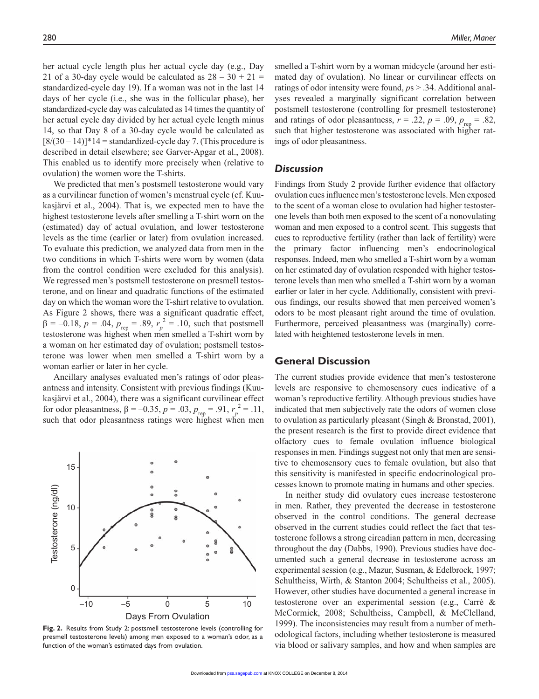her actual cycle length plus her actual cycle day (e.g., Day 21 of a 30-day cycle would be calculated as  $28 - 30 + 21 =$ standardized-cycle day 19). If a woman was not in the last 14 days of her cycle (i.e., she was in the follicular phase), her standardized-cycle day was calculated as 14 times the quantity of her actual cycle day divided by her actual cycle length minus 14, so that Day 8 of a 30-day cycle would be calculated as  $[8/(30-14)]$ <sup>\*</sup> 14 = standardized-cycle day 7. (This procedure is described in detail elsewhere; see Garver-Apgar et al., 2008). This enabled us to identify more precisely when (relative to ovulation) the women wore the T-shirts.

We predicted that men's postsmell testosterone would vary as a curvilinear function of women's menstrual cycle (cf. Kuukasjärvi et al., 2004). That is, we expected men to have the highest testosterone levels after smelling a T-shirt worn on the (estimated) day of actual ovulation, and lower testosterone levels as the time (earlier or later) from ovulation increased. To evaluate this prediction, we analyzed data from men in the two conditions in which T-shirts were worn by women (data from the control condition were excluded for this analysis). We regressed men's postsmell testosterone on presmell testosterone, and on linear and quadratic functions of the estimated day on which the woman wore the T-shirt relative to ovulation. As Figure 2 shows, there was a significant quadratic effect,  $β = -0.18, p = .04, p_{rep} = .89, r_p^2 = .10$ , such that postsmell testosterone was highest when men smelled a T-shirt worn by a woman on her estimated day of ovulation; postsmell testosterone was lower when men smelled a T-shirt worn by a woman earlier or later in her cycle.

Ancillary analyses evaluated men's ratings of odor pleasantness and intensity. Consistent with previous findings (Kuukasjärvi et al., 2004), there was a significant curvilinear effect for odor pleasantness,  $β = -0.35, p = .03, p_{\text{rep}} = .91, r_p^2 = .11,$ such that odor pleasantness ratings were highest when men



**Fig. 2.** Results from Study 2: postsmell testosterone levels (controlling for presmell testosterone levels) among men exposed to a woman's odor, as a function of the woman's estimated days from ovulation.

smelled a T-shirt worn by a woman midcycle (around her estimated day of ovulation). No linear or curvilinear effects on ratings of odor intensity were found, *p*s > .34. Additional analyses revealed a marginally significant correlation between postsmell testosterone (controlling for presmell testosterone) and ratings of odor pleasantness,  $r = .22$ ,  $p = .09$ ,  $p_{\text{ren}} = .82$ , such that higher testosterone was associated with higher ratings of odor pleasantness.

## *Discussion*

Findings from Study 2 provide further evidence that olfactory ovulation cues influence men's testosterone levels. Men exposed to the scent of a woman close to ovulation had higher testosterone levels than both men exposed to the scent of a nonovulating woman and men exposed to a control scent. This suggests that cues to reproductive fertility (rather than lack of fertility) were the primary factor influencing men's endocrinological responses. Indeed, men who smelled a T-shirt worn by a woman on her estimated day of ovulation responded with higher testosterone levels than men who smelled a T-shirt worn by a woman earlier or later in her cycle. Additionally, consistent with previous findings, our results showed that men perceived women's odors to be most pleasant right around the time of ovulation. Furthermore, perceived pleasantness was (marginally) correlated with heightened testosterone levels in men.

## **General Discussion**

The current studies provide evidence that men's testosterone levels are responsive to chemosensory cues indicative of a woman's reproductive fertility. Although previous studies have indicated that men subjectively rate the odors of women close to ovulation as particularly pleasant (Singh & Bronstad, 2001), the present research is the first to provide direct evidence that olfactory cues to female ovulation influence biological responses in men. Findings suggest not only that men are sensitive to chemosensory cues to female ovulation, but also that this sensitivity is manifested in specific endocrinological processes known to promote mating in humans and other species.

In neither study did ovulatory cues increase testosterone in men. Rather, they prevented the decrease in testosterone observed in the control conditions. The general decrease observed in the current studies could reflect the fact that testosterone follows a strong circadian pattern in men, decreasing throughout the day (Dabbs, 1990). Previous studies have documented such a general decrease in testosterone across an experimental session (e.g., Mazur, Susman, & Edelbrock, 1997; Schultheiss, Wirth, & Stanton 2004; Schultheiss et al., 2005). However, other studies have documented a general increase in testosterone over an experimental session (e.g., Carré & McCormick, 2008; Schultheiss, Campbell, & McClelland, 1999). The inconsistencies may result from a number of methodological factors, including whether testosterone is measured via blood or salivary samples, and how and when samples are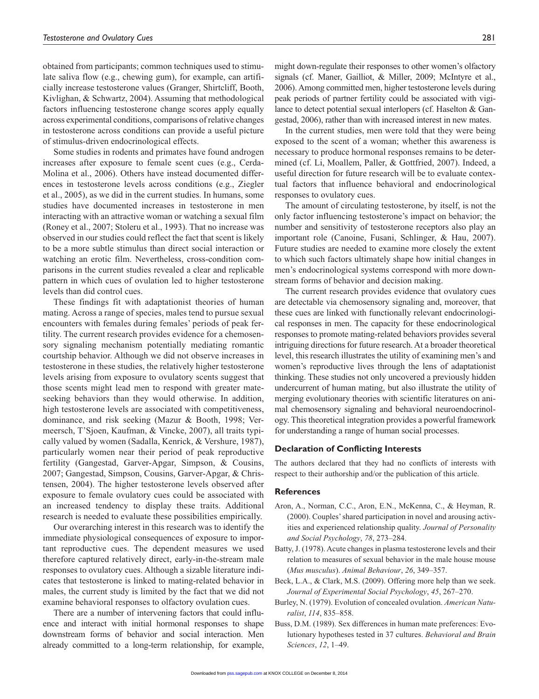obtained from participants; common techniques used to stimulate saliva flow (e.g., chewing gum), for example, can artificially increase testosterone values (Granger, Shirtcliff, Booth, Kivlighan, & Schwartz, 2004). Assuming that methodological factors influencing testosterone change scores apply equally across experimental conditions, comparisons of relative changes in testosterone across conditions can provide a useful picture of stimulus-driven endocrinological effects.

Some studies in rodents and primates have found androgen increases after exposure to female scent cues (e.g., Cerda-Molina et al., 2006). Others have instead documented differences in testosterone levels across conditions (e.g., Ziegler et al., 2005), as we did in the current studies. In humans, some studies have documented increases in testosterone in men interacting with an attractive woman or watching a sexual film (Roney et al., 2007; Stoleru et al., 1993). That no increase was observed in our studies could reflect the fact that scent is likely to be a more subtle stimulus than direct social interaction or watching an erotic film. Nevertheless, cross-condition comparisons in the current studies revealed a clear and replicable pattern in which cues of ovulation led to higher testosterone levels than did control cues.

These findings fit with adaptationist theories of human mating. Across a range of species, males tend to pursue sexual encounters with females during females' periods of peak fertility. The current research provides evidence for a chemosensory signaling mechanism potentially mediating romantic courtship behavior. Although we did not observe increases in testosterone in these studies, the relatively higher testosterone levels arising from exposure to ovulatory scents suggest that those scents might lead men to respond with greater mateseeking behaviors than they would otherwise. In addition, high testosterone levels are associated with competitiveness, dominance, and risk seeking (Mazur & Booth, 1998; Vermeersch, T'Sjoen, Kaufman, & Vincke, 2007), all traits typically valued by women (Sadalla, Kenrick, & Vershure, 1987), particularly women near their period of peak reproductive fertility (Gangestad, Garver-Apgar, Simpson, & Cousins, 2007; Gangestad, Simpson, Cousins, Garver-Apgar, & Christensen, 2004). The higher testosterone levels observed after exposure to female ovulatory cues could be associated with an increased tendency to display these traits. Additional research is needed to evaluate these possibilities empirically.

Our overarching interest in this research was to identify the immediate physiological consequences of exposure to important reproductive cues. The dependent measures we used therefore captured relatively direct, early-in-the-stream male responses to ovulatory cues. Although a sizable literature indicates that testosterone is linked to mating-related behavior in males, the current study is limited by the fact that we did not examine behavioral responses to olfactory ovulation cues.

There are a number of intervening factors that could influence and interact with initial hormonal responses to shape downstream forms of behavior and social interaction. Men already committed to a long-term relationship, for example,

might down-regulate their responses to other women's olfactory signals (cf. Maner, Gailliot, & Miller, 2009; McIntyre et al., 2006). Among committed men, higher testosterone levels during peak periods of partner fertility could be associated with vigilance to detect potential sexual interlopers (cf. Haselton & Gangestad, 2006), rather than with increased interest in new mates.

In the current studies, men were told that they were being exposed to the scent of a woman; whether this awareness is necessary to produce hormonal responses remains to be determined (cf. Li, Moallem, Paller, & Gottfried, 2007). Indeed, a useful direction for future research will be to evaluate contextual factors that influence behavioral and endocrinological responses to ovulatory cues.

The amount of circulating testosterone, by itself, is not the only factor influencing testosterone's impact on behavior; the number and sensitivity of testosterone receptors also play an important role (Canoine, Fusani, Schlinger, & Hau, 2007). Future studies are needed to examine more closely the extent to which such factors ultimately shape how initial changes in men's endocrinological systems correspond with more downstream forms of behavior and decision making.

The current research provides evidence that ovulatory cues are detectable via chemosensory signaling and, moreover, that these cues are linked with functionally relevant endocrinological responses in men. The capacity for these endocrinological responses to promote mating-related behaviors provides several intriguing directions for future research. At a broader theoretical level, this research illustrates the utility of examining men's and women's reproductive lives through the lens of adaptationist thinking. These studies not only uncovered a previously hidden undercurrent of human mating, but also illustrate the utility of merging evolutionary theories with scientific literatures on animal chemosensory signaling and behavioral neuroendocrinology. This theoretical integration provides a powerful framework for understanding a range of human social processes.

#### **Declaration of Conflicting Interests**

The authors declared that they had no conflicts of interests with respect to their authorship and/or the publication of this article.

## **References**

- Aron, A., Norman, C.C., Aron, E.N., McKenna, C., & Heyman, R. (2000). Couples' shared participation in novel and arousing activities and experienced relationship quality. *Journal of Personality and Social Psychology*, *78*, 273–284.
- Batty, J. (1978). Acute changes in plasma testosterone levels and their relation to measures of sexual behavior in the male house mouse (*Mus musculus*). *Animal Behaviour*, *26*, 349–357.
- Beck, L.A., & Clark, M.S. (2009). Offering more help than we seek. *Journal of Experimental Social Psychology*, *45*, 267–270.
- Burley, N. (1979). Evolution of concealed ovulation. *American Naturalist*, *114*, 835–858.
- Buss, D.M. (1989). Sex differences in human mate preferences: Evolutionary hypotheses tested in 37 cultures. *Behavioral and Brain Sciences*, *12*, 1–49.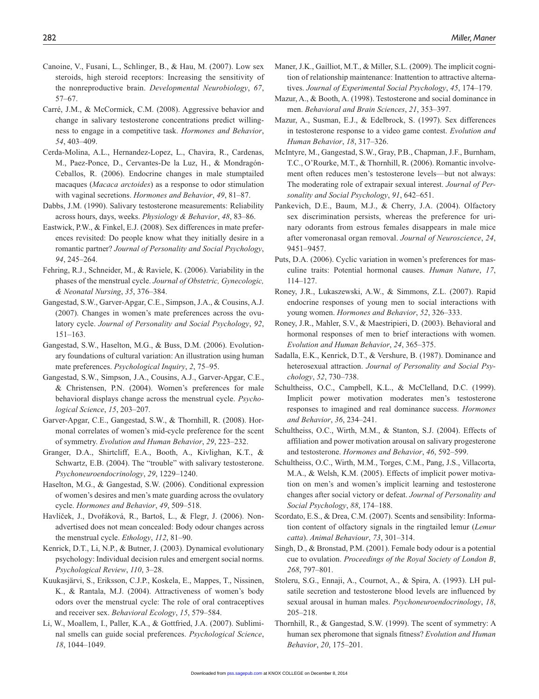- Canoine, V., Fusani, L., Schlinger, B., & Hau, M. (2007). Low sex steroids, high steroid receptors: Increasing the sensitivity of the nonreproductive brain. *Developmental Neurobiology*, *67*, 57–67.
- Carré, J.M., & McCormick, C.M. (2008). Aggressive behavior and change in salivary testosterone concentrations predict willingness to engage in a competitive task. *Hormones and Behavior*, *54*, 403–409.
- Cerda-Molina, A.L., Hernandez-Lopez, L., Chavira, R., Cardenas, M., Paez-Ponce, D., Cervantes-De la Luz, H., & Mondragón-Ceballos, R. (2006). Endocrine changes in male stumptailed macaques (*Macaca arctoides*) as a response to odor stimulation with vaginal secretions. *Hormones and Behavior*, *49*, 81–87.
- Dabbs, J.M. (1990). Salivary testosterone measurements: Reliability across hours, days, weeks. *Physiology & Behavior*, *48*, 83–86.
- Eastwick, P.W., & Finkel, E.J. (2008). Sex differences in mate preferences revisited: Do people know what they initially desire in a romantic partner? *Journal of Personality and Social Psychology*, *94*, 245–264.
- Fehring, R.J., Schneider, M., & Raviele, K. (2006). Variability in the phases of the menstrual cycle. *Journal of Obstetric, Gynecologic, & Neonatal Nursing*, *35*, 376–384.
- Gangestad, S.W., Garver-Apgar, C.E., Simpson, J.A., & Cousins, A.J. (2007). Changes in women's mate preferences across the ovulatory cycle. *Journal of Personality and Social Psychology*, *92*, 151–163.
- Gangestad, S.W., Haselton, M.G., & Buss, D.M. (2006). Evolutionary foundations of cultural variation: An illustration using human mate preferences. *Psychological Inquiry*, *2*, 75–95.
- Gangestad, S.W., Simpson, J.A., Cousins, A.J., Garver-Apgar, C.E., & Christensen, P.N. (2004). Women's preferences for male behavioral displays change across the menstrual cycle. *Psychological Science*, *15*, 203–207.
- Garver-Apgar, C.E., Gangestad, S.W., & Thornhill, R. (2008). Hormonal correlates of women's mid-cycle preference for the scent of symmetry. *Evolution and Human Behavior*, *29*, 223–232.
- Granger, D.A., Shirtcliff, E.A., Booth, A., Kivlighan, K.T., & Schwartz, E.B. (2004). The "trouble" with salivary testosterone. *Psychoneuroendocrinology*, *29*, 1229–1240.
- Haselton, M.G., & Gangestad, S.W. (2006). Conditional expression of women's desires and men's mate guarding across the ovulatory cycle. *Hormones and Behavior*, *49*, 509–518.
- Havlíček, J., Dvořáková, R., Bartoš, L., & Flegr, J. (2006). Nonadvertised does not mean concealed: Body odour changes across the menstrual cycle. *Ethology*, *112*, 81–90.
- Kenrick, D.T., Li, N.P., & Butner, J. (2003). Dynamical evolutionary psychology: Individual decision rules and emergent social norms. *Psychological Review*, *110*, 3–28.
- Kuukasjärvi, S., Eriksson, C.J.P., Koskela, E., Mappes, T., Nissinen, K., & Rantala, M.J. (2004). Attractiveness of women's body odors over the menstrual cycle: The role of oral contraceptives and receiver sex. *Behavioral Ecology*, *15*, 579–584.
- Li, W., Moallem, I., Paller, K.A., & Gottfried, J.A. (2007). Subliminal smells can guide social preferences. *Psychological Science*, *18*, 1044–1049.
- Maner, J.K., Gailliot, M.T., & Miller, S.L. (2009). The implicit cognition of relationship maintenance: Inattention to attractive alternatives. *Journal of Experimental Social Psychology*, *45*, 174–179.
- Mazur, A., & Booth, A. (1998). Testosterone and social dominance in men. *Behavioral and Brain Sciences*, *21*, 353–397.
- Mazur, A., Susman, E.J., & Edelbrock, S. (1997). Sex differences in testosterone response to a video game contest. *Evolution and Human Behavior*, *18*, 317–326.
- McIntyre, M., Gangestad, S.W., Gray, P.B., Chapman, J.F., Burnham, T.C., O'Rourke, M.T., & Thornhill, R. (2006). Romantic involvement often reduces men's testosterone levels—but not always: The moderating role of extrapair sexual interest. *Journal of Personality and Social Psychology*, *91*, 642–651.
- Pankevich, D.E., Baum, M.J., & Cherry, J.A. (2004). Olfactory sex discrimination persists, whereas the preference for urinary odorants from estrous females disappears in male mice after vomeronasal organ removal. *Journal of Neuroscience*, *24*, 9451–9457.
- Puts, D.A. (2006). Cyclic variation in women's preferences for masculine traits: Potential hormonal causes. *Human Nature*, *17*, 114–127.
- Roney, J.R., Lukaszewski, A.W., & Simmons, Z.L. (2007). Rapid endocrine responses of young men to social interactions with young women. *Hormones and Behavior*, *52*, 326–333.
- Roney, J.R., Mahler, S.V., & Maestripieri, D. (2003). Behavioral and hormonal responses of men to brief interactions with women. *Evolution and Human Behavior*, *24*, 365–375.
- Sadalla, E.K., Kenrick, D.T., & Vershure, B. (1987). Dominance and heterosexual attraction. *Journal of Personality and Social Psychology*, *52*, 730–738.
- Schultheiss, O.C., Campbell, K.L., & McClelland, D.C. (1999). Implicit power motivation moderates men's testosterone responses to imagined and real dominance success. *Hormones and Behavior*, *36*, 234–241.
- Schultheiss, O.C., Wirth, M.M., & Stanton, S.J. (2004). Effects of affiliation and power motivation arousal on salivary progesterone and testosterone. *Hormones and Behavior*, *46*, 592–599.
- Schultheiss, O.C., Wirth, M.M., Torges, C.M., Pang, J.S., Villacorta, M.A., & Welsh, K.M. (2005). Effects of implicit power motivation on men's and women's implicit learning and testosterone changes after social victory or defeat. *Journal of Personality and Social Psychology*, *88*, 174–188.
- Scordato, E.S., & Drea, C.M. (2007). Scents and sensibility: Information content of olfactory signals in the ringtailed lemur (*Lemur catta*). *Animal Behaviour*, *73*, 301–314.
- Singh, D., & Bronstad, P.M. (2001). Female body odour is a potential cue to ovulation. *Proceedings of the Royal Society of London B*, *268*, 797–801.
- Stoleru, S.G., Ennaji, A., Cournot, A., & Spira, A. (1993). LH pulsatile secretion and testosterone blood levels are influenced by sexual arousal in human males. *Psychoneuroendocrinology*, *18*, 205–218.
- Thornhill, R., & Gangestad, S.W. (1999). The scent of symmetry: A human sex pheromone that signals fitness? *Evolution and Human Behavior*, *20*, 175–201.